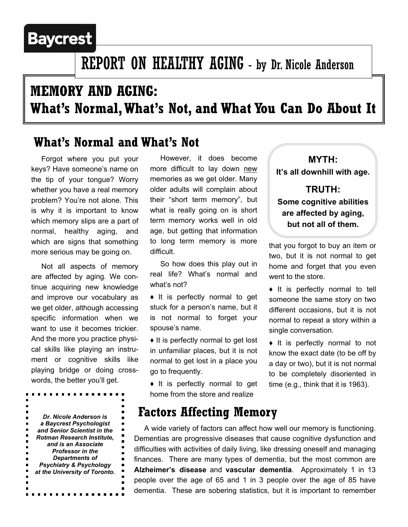# **Baycrest**

# REPORT ON HEALTHY AGING - by Dr. Nicole Anderson

# **MEMORY AND AGING: What's Normal, What's Not, and What You Can Do About It**

## **What's Normal and What's Not**

 Forgot where you put your keys? Have someone's name on the tip of your tongue? Worry whether you have a real memory problem? You're not alone. This is why it is important to know which memory slips are a part of normal, healthy aging, and which are signs that something more serious may be going on.

 Not all aspects of memory are affected by aging. We continue acquiring new knowledge and improve our vocabulary as we get older, although accessing specific information when we want to use it becomes trickier. And the more you practice physical skills like playing an instrument or cognitive skills like playing bridge or doing crosswords, the better you'll get.

*Dr. Nicole Anderson is a Baycrest Psychologist and Senior Scientist in the Rotman Research Institute, and is an Associate Professor in the Departments of Psychiatry & Psychology at the University of Toronto.*

 $\blacksquare$ ×.

 However, it does become more difficult to lay down new memories as we get older. Many older adults will complain about their "short term memory", but what is really going on is short term memory works well in old age, but getting that information to long term memory is more difficult.

 So how does this play out in real life? What's normal and what's not?

♦ It is perfectly normal to get stuck for a person's name, but it is not normal to forget your spouse's name.

♦ It is perfectly normal to get lost in unfamiliar places, but it is not normal to get lost in a place you go to frequently.

♦ It is perfectly normal to get home from the store and realize

### **Factors Affecting Memory**

 A wide variety of factors can affect how well our memory is functioning. Dementias are progressive diseases that cause cognitive dysfunction and difficulties with activities of daily living, like dressing oneself and managing finances. There are many types of dementia, but the most common are **Alzheimer's disease** and **vascular dementia**. Approximately 1 in 13 people over the age of 65 and 1 in 3 people over the age of 85 have dementia. These are sobering statistics, but it is important to remember

**MYTH: It's all downhill with age. TRUTH:** 

## **Some cognitive abilities are affected by aging, but not all of them.**

that you forgot to buy an item or two, but it is not normal to get home and forget that you even went to the store.

♦ It is perfectly normal to tell someone the same story on two different occasions, but it is not normal to repeat a story within a single conversation.

♦ It is perfectly normal to not know the exact date (to be off by a day or two), but it is not normal to be completely disoriented in time (e.g., think that it is 1963).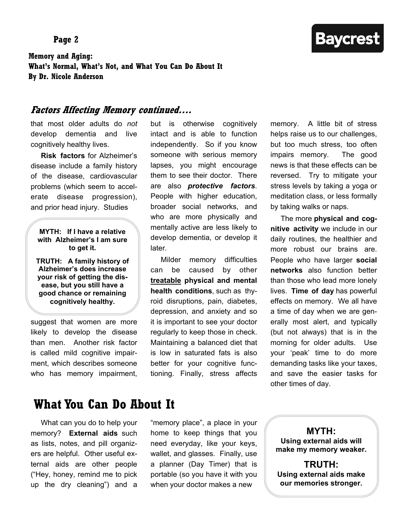#### **Page 2**

**Baycrest** 

**Memory and Aging: What's Normal, What's Not, and What You Can Do About It By Dr. Nicole Anderson** 

#### **Factors Affecting Memory continued….**

that most older adults do *not* develop dementia and live cognitively healthy lives.

 **Risk factors** for Alzheimer's disease include a family history of the disease, cardiovascular problems (which seem to accelerate disease progression), and prior head injury. Studies

#### **MYTH: If I have a relative with Alzheimer's I am sure to get it.**

**TRUTH: A family history of Alzheimer's does increase your risk of getting the disease, but you still have a good chance or remaining cognitively healthy.** 

suggest that women are more likely to develop the disease than men. Another risk factor is called mild cognitive impairment, which describes someone who has memory impairment,

but is otherwise cognitively intact and is able to function independently. So if you know someone with serious memory lapses, you might encourage them to see their doctor. There are also *protective factors*. People with higher education, broader social networks, and who are more physically and mentally active are less likely to develop dementia, or develop it later.

 Milder memory difficulties can be caused by other **treatable physical and mental health conditions**, such as thyroid disruptions, pain, diabetes, depression, and anxiety and so it is important to see your doctor regularly to keep those in check. Maintaining a balanced diet that is low in saturated fats is also better for your cognitive functioning. Finally, stress affects

memory. A little bit of stress helps raise us to our challenges, but too much stress, too often impairs memory. The good news is that these effects can be reversed. Try to mitigate your stress levels by taking a yoga or meditation class, or less formally by taking walks or naps.

 The more **physical and cognitive activity** we include in our daily routines, the healthier and more robust our brains are. People who have larger **social networks** also function better than those who lead more lonely lives. **Time of day** has powerful effects on memory. We all have a time of day when we are generally most alert, and typically (but not always) that is in the morning for older adults. Use your 'peak' time to do more demanding tasks like your taxes, and save the easier tasks for other times of day.

### **What You Can Do About It**

 What can you do to help your memory? **External aids** such as lists, notes, and pill organizers are helpful. Other useful external aids are other people ("Hey, honey, remind me to pick up the dry cleaning") and a

"memory place", a place in your home to keep things that you need everyday, like your keys, wallet, and glasses. Finally, use a planner (Day Timer) that is portable (so you have it with you when your doctor makes a new

**MYTH: Using external aids will make my memory weaker.** 

**TRUTH: Using external aids make our memories stronger.**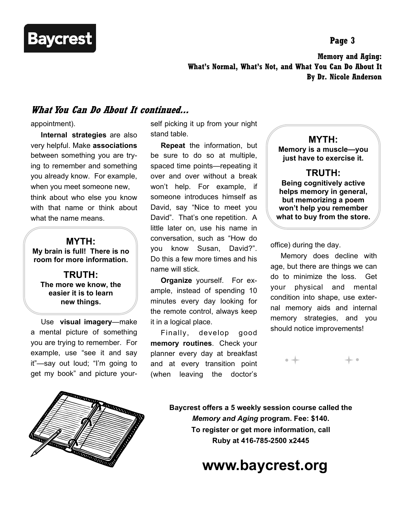

**Page 3** 

**Memory and Aging: What's Normal, What's Not, and What You Can Do About It By Dr. Nicole Anderson** 

#### **What You Can Do About It continued...**

appointment).

 **Internal strategies** are also very helpful. Make **associations**  between something you are trying to remember and something you already know. For example, when you meet someone new, think about who else you know with that name or think about what the name means.

### **MYTH: My brain is full! There is no room for more information.**

**TRUTH: The more we know, the easier it is to learn new things.** 

 Use **visual imagery**—make a mental picture of something you are trying to remember. For example, use "see it and say it"—say out loud; "I'm going to get my book" and picture your-



self picking it up from your night stand table.

 **Repeat** the information, but be sure to do so at multiple, spaced time points—repeating it over and over without a break won't help. For example, if someone introduces himself as David, say "Nice to meet you David". That's one repetition. A little later on, use his name in conversation, such as "How do you know Susan, David?". Do this a few more times and his name will stick.

 **Organize** yourself. For example, instead of spending 10 minutes every day looking for the remote control, always keep it in a logical place.

 Finally, develop good **memory routines**. Check your planner every day at breakfast and at every transition point (when leaving the doctor's

**MYTH: Memory is a muscle—you just have to exercise it.** 

#### **TRUTH:**

**Being cognitively active helps memory in general, but memorizing a poem won't help you remember what to buy from the store.** 

office) during the day.

 Memory does decline with age, but there are things we can do to minimize the loss. Get your physical and mental condition into shape, use external memory aids and internal memory strategies, and you should notice improvements!



**Baycrest offers a 5 weekly session course called the**  *Memory and Aging* **program. Fee: \$140. To register or get more information, call Ruby at 416-785-2500 x2445** 

## **www.baycrest.org**